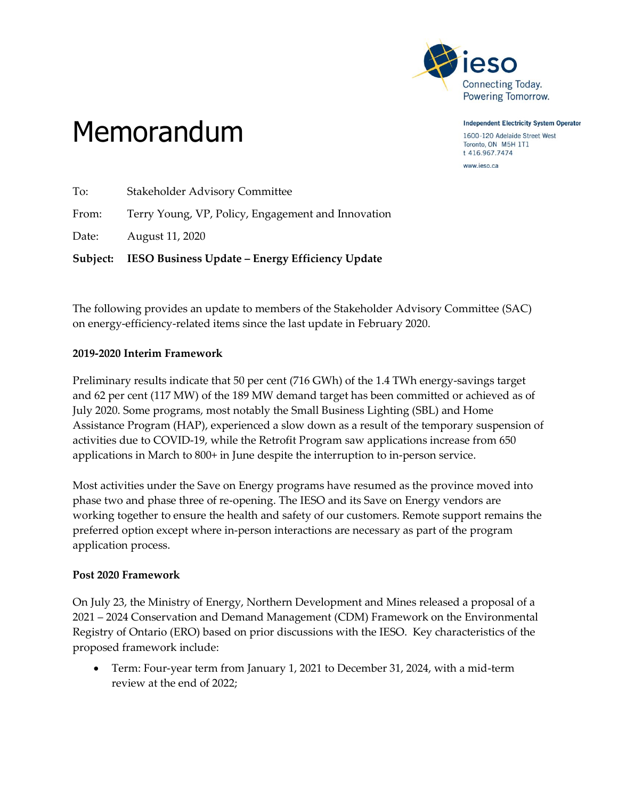

**Independent Electricity System Operator** 1600-120 Adelaide Street West Toronto, ON M5H 1T1 t 416.967.7474

www.ieso.ca

# Memorandum

To: Stakeholder Advisory Committee From: Terry Young, VP, Policy, Engagement and Innovation Date: August 11, 2020 **Subject: IESO Business Update – Energy Efficiency Update**

The following provides an update to members of the Stakeholder Advisory Committee (SAC) on energy-efficiency-related items since the last update in February 2020.

## **2019-2020 Interim Framework**

Preliminary results indicate that 50 per cent (716 GWh) of the 1.4 TWh energy-savings target and 62 per cent (117 MW) of the 189 MW demand target has been committed or achieved as of July 2020. Some programs, most notably the Small Business Lighting (SBL) and Home Assistance Program (HAP), experienced a slow down as a result of the temporary suspension of activities due to COVID-19, while the Retrofit Program saw applications increase from 650 applications in March to 800+ in June despite the interruption to in-person service.

Most activities under the Save on Energy programs have resumed as the province moved into phase two and phase three of re-opening. The IESO and its Save on Energy vendors are working together to ensure the health and safety of our customers. Remote support remains the preferred option except where in-person interactions are necessary as part of the program application process.

## **Post 2020 Framework**

On July 23, the Ministry of Energy, Northern Development and Mines released a proposal of a 2021 – 2024 Conservation and Demand Management (CDM) Framework on the Environmental Registry of Ontario (ERO) based on prior discussions with the IESO. Key characteristics of the proposed framework include:

 Term: Four-year term from January 1, 2021 to December 31, 2024, with a mid-term review at the end of 2022;